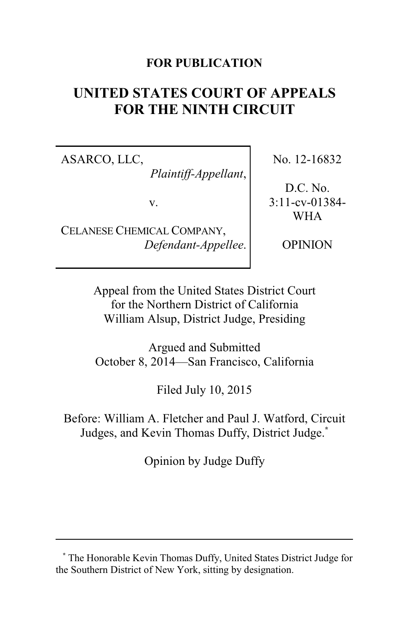### **FOR PUBLICATION**

# **UNITED STATES COURT OF APPEALS FOR THE NINTH CIRCUIT**

ASARCO, LLC,

*Plaintiff-Appellant*,

v.

CELANESE CHEMICAL COMPANY, *Defendant-Appellee*. No. 12-16832

D.C. No. 3:11-cv-01384- WHA

OPINION

Appeal from the United States District Court for the Northern District of California William Alsup, District Judge, Presiding

Argued and Submitted October 8, 2014—San Francisco, California

Filed July 10, 2015

Before: William A. Fletcher and Paul J. Watford, Circuit Judges, and Kevin Thomas Duffy, District Judge.**\***

Opinion by Judge Duffy

**<sup>\*</sup>** The Honorable Kevin Thomas Duffy, United States District Judge for the Southern District of New York, sitting by designation.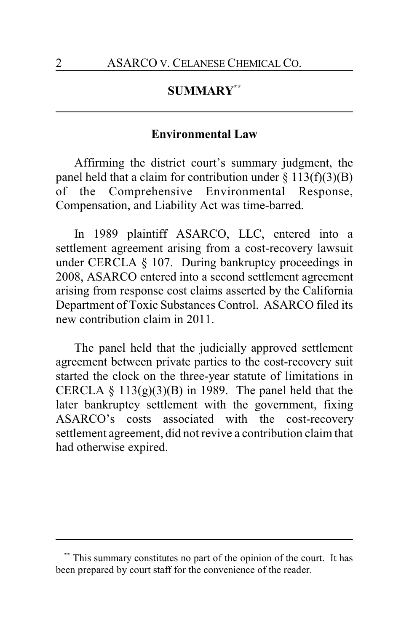## **SUMMARY\*\***

#### **Environmental Law**

Affirming the district court's summary judgment, the panel held that a claim for contribution under  $\S 113(f)(3)(B)$ of the Comprehensive Environmental Response, Compensation, and Liability Act was time-barred.

In 1989 plaintiff ASARCO, LLC, entered into a settlement agreement arising from a cost-recovery lawsuit under CERCLA § 107. During bankruptcy proceedings in 2008, ASARCO entered into a second settlement agreement arising from response cost claims asserted by the California Department of Toxic Substances Control. ASARCO filed its new contribution claim in 2011.

The panel held that the judicially approved settlement agreement between private parties to the cost-recovery suit started the clock on the three-year statute of limitations in CERCLA  $\S$  113(g)(3)(B) in 1989. The panel held that the later bankruptcy settlement with the government, fixing ASARCO's costs associated with the cost-recovery settlement agreement, did not revive a contribution claim that had otherwise expired.

This summary constitutes no part of the opinion of the court. It has been prepared by court staff for the convenience of the reader.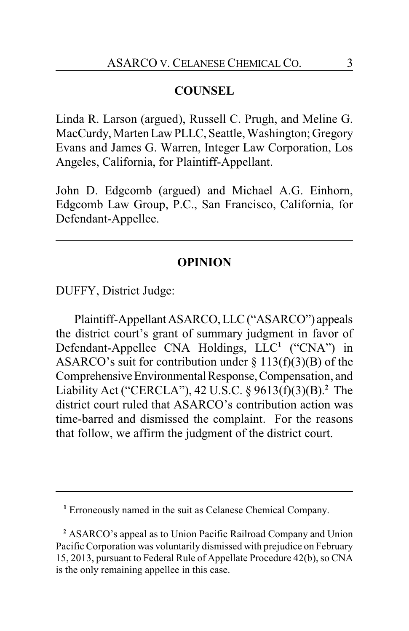#### **COUNSEL**

Linda R. Larson (argued), Russell C. Prugh, and Meline G. MacCurdy, Marten Law PLLC, Seattle, Washington; Gregory Evans and James G. Warren, Integer Law Corporation, Los Angeles, California, for Plaintiff-Appellant.

John D. Edgcomb (argued) and Michael A.G. Einhorn, Edgcomb Law Group, P.C., San Francisco, California, for Defendant-Appellee.

#### **OPINION**

DUFFY, District Judge:

Plaintiff-AppellantASARCO,LLC("ASARCO") appeals the district court's grant of summary judgment in favor of Defendant-Appellee CNA Holdings, LLC **1** ("CNA") in ASARCO's suit for contribution under  $\S$  113(f)(3)(B) of the ComprehensiveEnvironmentalResponse,Compensation, and Liability Act ("CERCLA"), 42 U.S.C. § 9613(f)(3)(B). **<sup>2</sup>** The district court ruled that ASARCO's contribution action was time-barred and dismissed the complaint. For the reasons that follow, we affirm the judgment of the district court.

**<sup>1</sup>** Erroneously named in the suit as Celanese Chemical Company.

**<sup>2</sup>** ASARCO's appeal as to Union Pacific Railroad Company and Union Pacific Corporation was voluntarily dismissed with prejudice on February 15, 2013, pursuant to Federal Rule of Appellate Procedure 42(b), so CNA is the only remaining appellee in this case.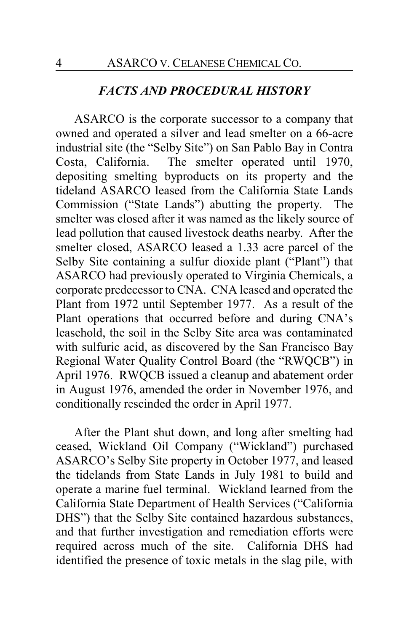#### *FACTS AND PROCEDURAL HISTORY*

ASARCO is the corporate successor to a company that owned and operated a silver and lead smelter on a 66-acre industrial site (the "Selby Site") on San Pablo Bay in Contra Costa, California. The smelter operated until 1970, depositing smelting byproducts on its property and the tideland ASARCO leased from the California State Lands Commission ("State Lands") abutting the property. The smelter was closed after it was named as the likely source of lead pollution that caused livestock deaths nearby. After the smelter closed, ASARCO leased a 1.33 acre parcel of the Selby Site containing a sulfur dioxide plant ("Plant") that ASARCO had previously operated to Virginia Chemicals, a corporate predecessor to CNA. CNA leased and operated the Plant from 1972 until September 1977. As a result of the Plant operations that occurred before and during CNA's leasehold, the soil in the Selby Site area was contaminated with sulfuric acid, as discovered by the San Francisco Bay Regional Water Quality Control Board (the "RWQCB") in April 1976. RWQCB issued a cleanup and abatement order in August 1976, amended the order in November 1976, and conditionally rescinded the order in April 1977.

After the Plant shut down, and long after smelting had ceased, Wickland Oil Company ("Wickland") purchased ASARCO's Selby Site property in October 1977, and leased the tidelands from State Lands in July 1981 to build and operate a marine fuel terminal. Wickland learned from the California State Department of Health Services ("California DHS") that the Selby Site contained hazardous substances, and that further investigation and remediation efforts were required across much of the site. California DHS had identified the presence of toxic metals in the slag pile, with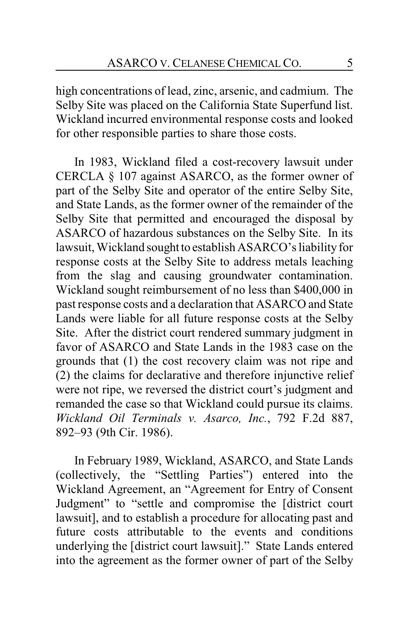high concentrations of lead, zinc, arsenic, and cadmium. The Selby Site was placed on the California State Superfund list. Wickland incurred environmental response costs and looked for other responsible parties to share those costs.

In 1983, Wickland filed a cost-recovery lawsuit under CERCLA § 107 against ASARCO, as the former owner of part of the Selby Site and operator of the entire Selby Site, and State Lands, as the former owner of the remainder of the Selby Site that permitted and encouraged the disposal by ASARCO of hazardous substances on the Selby Site. In its lawsuit, Wickland sought to establish ASARCO's liability for response costs at the Selby Site to address metals leaching from the slag and causing groundwater contamination. Wickland sought reimbursement of no less than \$400,000 in past response costs and a declaration that ASARCO and State Lands were liable for all future response costs at the Selby Site. After the district court rendered summary judgment in favor of ASARCO and State Lands in the 1983 case on the grounds that (1) the cost recovery claim was not ripe and (2) the claims for declarative and therefore injunctive relief were not ripe, we reversed the district court's judgment and remanded the case so that Wickland could pursue its claims. *Wickland Oil Terminals v. Asarco, Inc.*, 792 F.2d 887, 892–93 (9th Cir. 1986).

In February 1989, Wickland, ASARCO, and State Lands (collectively, the "Settling Parties") entered into the Wickland Agreement, an "Agreement for Entry of Consent Judgment" to "settle and compromise the [district court lawsuit], and to establish a procedure for allocating past and future costs attributable to the events and conditions underlying the [district court lawsuit]." State Lands entered into the agreement as the former owner of part of the Selby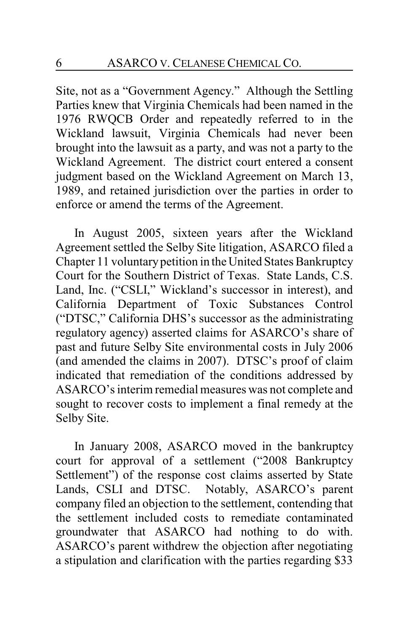Site, not as a "Government Agency." Although the Settling Parties knew that Virginia Chemicals had been named in the 1976 RWQCB Order and repeatedly referred to in the Wickland lawsuit, Virginia Chemicals had never been brought into the lawsuit as a party, and was not a party to the Wickland Agreement. The district court entered a consent judgment based on the Wickland Agreement on March 13, 1989, and retained jurisdiction over the parties in order to enforce or amend the terms of the Agreement.

In August 2005, sixteen years after the Wickland Agreement settled the Selby Site litigation, ASARCO filed a Chapter 11 voluntarypetition in the United States Bankruptcy Court for the Southern District of Texas. State Lands, C.S. Land, Inc. ("CSLI," Wickland's successor in interest), and California Department of Toxic Substances Control ("DTSC," California DHS's successor as the administrating regulatory agency) asserted claims for ASARCO's share of past and future Selby Site environmental costs in July 2006 (and amended the claims in 2007). DTSC's proof of claim indicated that remediation of the conditions addressed by ASARCO's interim remedial measures was not complete and sought to recover costs to implement a final remedy at the Selby Site.

In January 2008, ASARCO moved in the bankruptcy court for approval of a settlement ("2008 Bankruptcy Settlement") of the response cost claims asserted by State Lands, CSLI and DTSC. Notably, ASARCO's parent company filed an objection to the settlement, contending that the settlement included costs to remediate contaminated groundwater that ASARCO had nothing to do with. ASARCO's parent withdrew the objection after negotiating a stipulation and clarification with the parties regarding \$33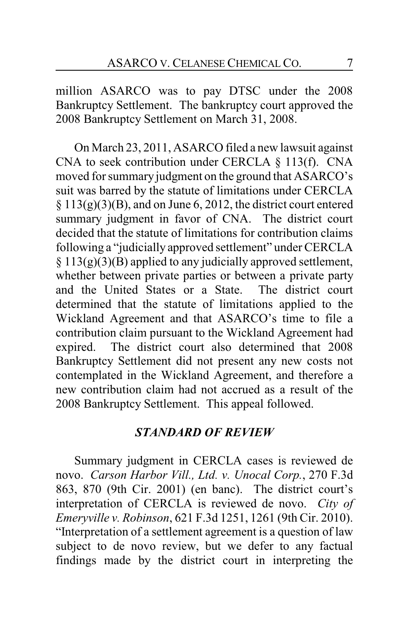million ASARCO was to pay DTSC under the 2008 Bankruptcy Settlement. The bankruptcy court approved the 2008 Bankruptcy Settlement on March 31, 2008.

On March 23, 2011, ASARCO filed a new lawsuit against CNA to seek contribution under CERCLA § 113(f). CNA moved for summary judgment on the ground that ASARCO's suit was barred by the statute of limitations under CERCLA  $\S 113(g)(3)(B)$ , and on June 6, 2012, the district court entered summary judgment in favor of CNA. The district court decided that the statute of limitations for contribution claims following a "judicially approved settlement" under CERCLA  $§ 113(g)(3)(B)$  applied to any judicially approved settlement, whether between private parties or between a private party and the United States or a State. The district court determined that the statute of limitations applied to the Wickland Agreement and that ASARCO's time to file a contribution claim pursuant to the Wickland Agreement had expired. The district court also determined that 2008 Bankruptcy Settlement did not present any new costs not contemplated in the Wickland Agreement, and therefore a new contribution claim had not accrued as a result of the 2008 Bankruptcy Settlement. This appeal followed.

### *STANDARD OF REVIEW*

Summary judgment in CERCLA cases is reviewed de novo. *Carson Harbor Vill., Ltd. v. Unocal Corp.*, 270 F.3d 863, 870 (9th Cir. 2001) (en banc). The district court's interpretation of CERCLA is reviewed de novo. *City of Emeryville v. Robinson*, 621 F.3d 1251, 1261 (9th Cir. 2010). "Interpretation of a settlement agreement is a question of law subject to de novo review, but we defer to any factual findings made by the district court in interpreting the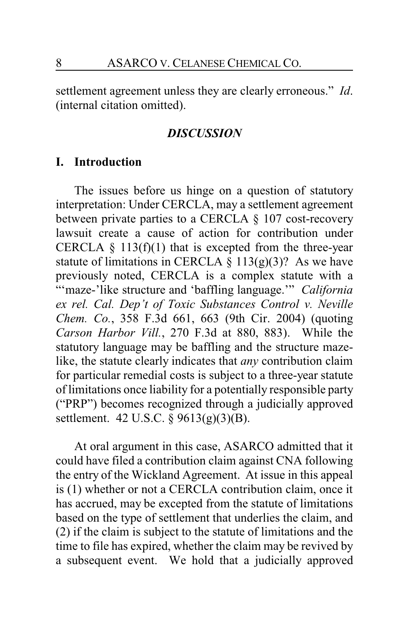settlement agreement unless they are clearly erroneous." *Id*. (internal citation omitted).

#### *DISCUSSION*

#### **I. Introduction**

The issues before us hinge on a question of statutory interpretation: Under CERCLA, may a settlement agreement between private parties to a CERCLA § 107 cost-recovery lawsuit create a cause of action for contribution under CERCLA  $\S$  113(f)(1) that is excepted from the three-year statute of limitations in CERCLA  $\S 113(g)(3)$ ? As we have previously noted, CERCLA is a complex statute with a "'maze-'like structure and 'baffling language.'" *California ex rel. Cal. Dep't of Toxic Substances Control v. Neville Chem. Co.*, 358 F.3d 661, 663 (9th Cir. 2004) (quoting *Carson Harbor Vill.*, 270 F.3d at 880, 883). While the statutory language may be baffling and the structure mazelike, the statute clearly indicates that *any* contribution claim for particular remedial costs is subject to a three-year statute of limitations once liability for a potentially responsible party ("PRP") becomes recognized through a judicially approved settlement. 42 U.S.C. § 9613(g)(3)(B).

At oral argument in this case, ASARCO admitted that it could have filed a contribution claim against CNA following the entry of the Wickland Agreement. At issue in this appeal is (1) whether or not a CERCLA contribution claim, once it has accrued, may be excepted from the statute of limitations based on the type of settlement that underlies the claim, and (2) if the claim is subject to the statute of limitations and the time to file has expired, whether the claim may be revived by a subsequent event. We hold that a judicially approved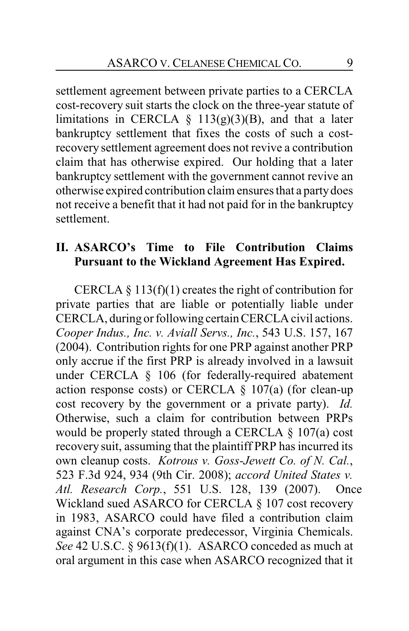settlement agreement between private parties to a CERCLA cost-recovery suit starts the clock on the three-year statute of limitations in CERCLA  $\S$  113(g)(3)(B), and that a later bankruptcy settlement that fixes the costs of such a costrecovery settlement agreement does not revive a contribution claim that has otherwise expired. Our holding that a later bankruptcy settlement with the government cannot revive an otherwise expired contribution claim ensures that a partydoes not receive a benefit that it had not paid for in the bankruptcy settlement.

### **II. ASARCO's Time to File Contribution Claims Pursuant to the Wickland Agreement Has Expired.**

CERCLA  $\S$  113(f)(1) creates the right of contribution for private parties that are liable or potentially liable under CERCLA, during or following certain CERCLA civil actions. *Cooper Indus., Inc. v. Aviall Servs., Inc.*, 543 U.S. 157, 167 (2004). Contribution rights for one PRP against another PRP only accrue if the first PRP is already involved in a lawsuit under CERCLA § 106 (for federally-required abatement action response costs) or CERCLA  $\S$  107(a) (for clean-up cost recovery by the government or a private party). *Id.* Otherwise, such a claim for contribution between PRPs would be properly stated through a CERCLA § 107(a) cost recovery suit, assuming that the plaintiff PRP has incurred its own cleanup costs. *Kotrous v. Goss-Jewett Co. of N. Cal.*, 523 F.3d 924, 934 (9th Cir. 2008); *accord United States v. Atl. Research Corp.*, 551 U.S. 128, 139 (2007). Once Wickland sued ASARCO for CERCLA § 107 cost recovery in 1983, ASARCO could have filed a contribution claim against CNA's corporate predecessor, Virginia Chemicals. *See* 42 U.S.C. § 9613(f)(1). ASARCO conceded as much at oral argument in this case when ASARCO recognized that it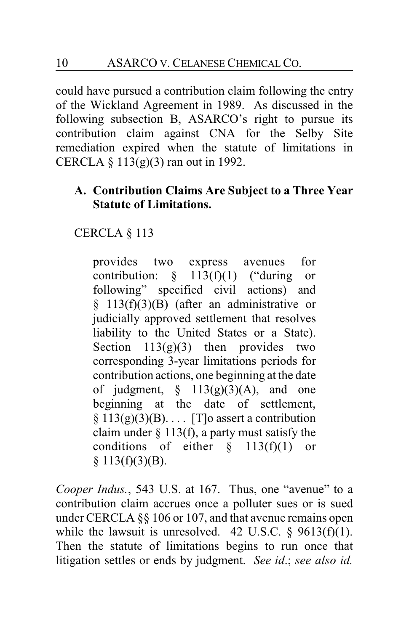could have pursued a contribution claim following the entry of the Wickland Agreement in 1989. As discussed in the following subsection B, ASARCO's right to pursue its contribution claim against CNA for the Selby Site remediation expired when the statute of limitations in CERCLA  $\S$  113(g)(3) ran out in 1992.

# **A. Contribution Claims Are Subject to a Three Year Statute of Limitations.**

CERCLA § 113

provides two express avenues for contribution:  $\S$  113(f)(1) ("during or following" specified civil actions) and  $§$  113(f)(3)(B) (after an administrative or judicially approved settlement that resolves liability to the United States or a State). Section  $113(g)(3)$  then provides two corresponding 3-year limitations periods for contribution actions, one beginning at the date of judgment,  $\S$  113(g)(3)(A), and one beginning at the date of settlement,  $§ 113(g)(3)(B)$ ... [T]o assert a contribution claim under  $\S$  113(f), a party must satisfy the conditions of either  $\S$  113(f)(1) or  $§ 113(f)(3)(B).$ 

*Cooper Indus.*, 543 U.S. at 167. Thus, one "avenue" to a contribution claim accrues once a polluter sues or is sued under CERCLA §§ 106 or 107, and that avenue remains open while the lawsuit is unresolved. 42 U.S.C.  $\S$  9613(f)(1). Then the statute of limitations begins to run once that litigation settles or ends by judgment. *See id*.; *see also id.*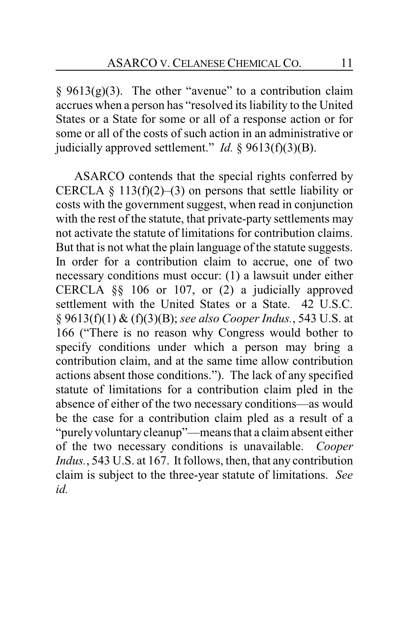$§$  9613(g)(3). The other "avenue" to a contribution claim accrues when a person has "resolved its liability to the United States or a State for some or all of a response action or for some or all of the costs of such action in an administrative or judicially approved settlement." *Id.* § 9613(f)(3)(B).

ASARCO contends that the special rights conferred by CERCLA § 113(f)(2)–(3) on persons that settle liability or costs with the government suggest, when read in conjunction with the rest of the statute, that private-party settlements may not activate the statute of limitations for contribution claims. But that is not what the plain language of the statute suggests. In order for a contribution claim to accrue, one of two necessary conditions must occur: (1) a lawsuit under either CERCLA §§ 106 or 107, or (2) a judicially approved settlement with the United States or a State. 42 U.S.C. § 9613(f)(1) & (f)(3)(B); *see also Cooper Indus.*, 543 U.S. at 166 ("There is no reason why Congress would bother to specify conditions under which a person may bring a contribution claim, and at the same time allow contribution actions absent those conditions."). The lack of any specified statute of limitations for a contribution claim pled in the absence of either of the two necessary conditions—as would be the case for a contribution claim pled as a result of a "purelyvoluntary cleanup"—means that a claim absent either of the two necessary conditions is unavailable. *Cooper Indus.*, 543 U.S. at 167. It follows, then, that any contribution claim is subject to the three-year statute of limitations. *See id.*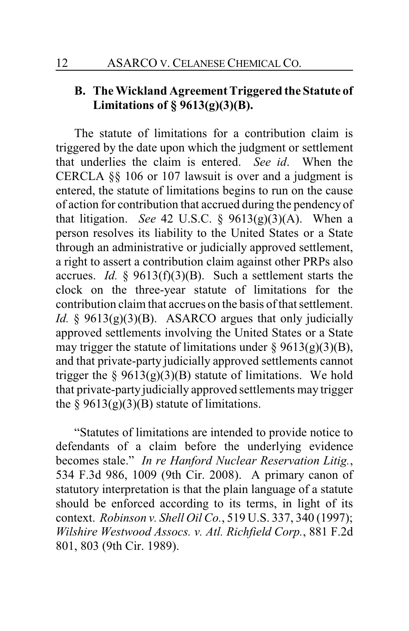# **B. The Wickland Agreement Triggered the Statute of Limitations of § 9613(g)(3)(B).**

The statute of limitations for a contribution claim is triggered by the date upon which the judgment or settlement that underlies the claim is entered. *See id*. When the CERCLA §§ 106 or 107 lawsuit is over and a judgment is entered, the statute of limitations begins to run on the cause of action for contribution that accrued during the pendency of that litigation. *See* 42 U.S.C. § 9613(g)(3)(A). When a person resolves its liability to the United States or a State through an administrative or judicially approved settlement, a right to assert a contribution claim against other PRPs also accrues. *Id.* § 9613(f)(3)(B). Such a settlement starts the clock on the three-year statute of limitations for the contribution claim that accrues on the basis of that settlement. *Id.*  $\oint$  9613(g)(3)(B). ASARCO argues that only judicially approved settlements involving the United States or a State may trigger the statute of limitations under  $\S$  9613(g)(3)(B), and that private-party judicially approved settlements cannot trigger the  $\S 9613(g)(3)(B)$  statute of limitations. We hold that private-party judicially approved settlements may trigger the  $\S 9613(g)(3)(B)$  statute of limitations.

"Statutes of limitations are intended to provide notice to defendants of a claim before the underlying evidence becomes stale." *In re Hanford Nuclear Reservation Litig.*, 534 F.3d 986, 1009 (9th Cir. 2008). A primary canon of statutory interpretation is that the plain language of a statute should be enforced according to its terms, in light of its context. *Robinson v. Shell Oil Co.*, 519 U.S. 337, 340 (1997); *Wilshire Westwood Assocs. v. Atl. Richfield Corp.*, 881 F.2d 801, 803 (9th Cir. 1989).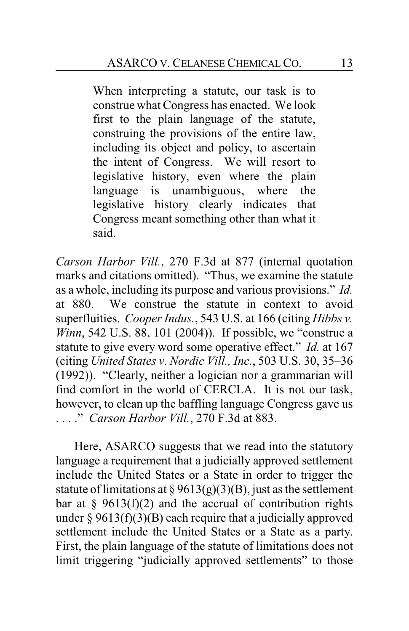When interpreting a statute, our task is to construe what Congress has enacted. We look first to the plain language of the statute, construing the provisions of the entire law, including its object and policy, to ascertain the intent of Congress. We will resort to legislative history, even where the plain language is unambiguous, where the legislative history clearly indicates that Congress meant something other than what it said.

*Carson Harbor Vill.*, 270 F.3d at 877 (internal quotation marks and citations omitted). "Thus, we examine the statute as a whole, including its purpose and various provisions." *Id.* at 880. We construe the statute in context to avoid superfluities. *Cooper Indus.*, 543 U.S. at 166 (citing *Hibbs v. Winn*, 542 U.S. 88, 101 (2004)). If possible, we "construe a statute to give every word some operative effect." *Id.* at 167 (citing *United States v. Nordic Vill., Inc.*, 503 U.S. 30, 35–36 (1992)). "Clearly, neither a logician nor a grammarian will find comfort in the world of CERCLA. It is not our task, however, to clean up the baffling language Congress gave us . . . ." *Carson Harbor Vill.*, 270 F.3d at 883.

Here, ASARCO suggests that we read into the statutory language a requirement that a judicially approved settlement include the United States or a State in order to trigger the statute of limitations at  $\S 9613(g)(3)(B)$ , just as the settlement bar at  $\S$  9613(f)(2) and the accrual of contribution rights under  $\S 9613(f)(3)(B)$  each require that a judicially approved settlement include the United States or a State as a party. First, the plain language of the statute of limitations does not limit triggering "judicially approved settlements" to those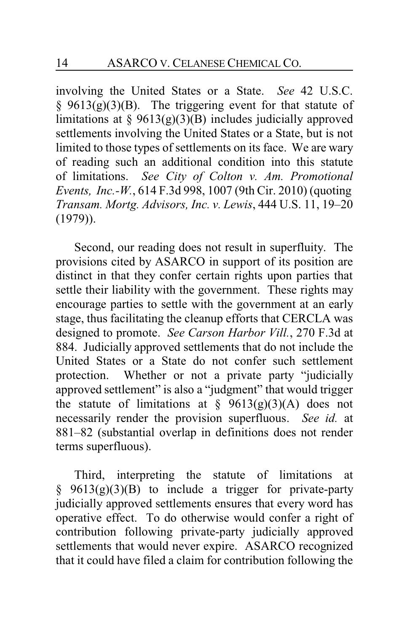involving the United States or a State. *See* 42 U.S.C.  $§$  9613(g)(3)(B). The triggering event for that statute of limitations at  $\S 9613(g)(3)(B)$  includes judicially approved settlements involving the United States or a State, but is not limited to those types of settlements on its face. We are wary of reading such an additional condition into this statute of limitations. *See City of Colton v. Am. Promotional Events, Inc.-W.*, 614 F.3d 998, 1007 (9th Cir. 2010) (quoting *Transam. Mortg. Advisors, Inc. v. Lewis*, 444 U.S. 11, 19–20 (1979)).

Second, our reading does not result in superfluity. The provisions cited by ASARCO in support of its position are distinct in that they confer certain rights upon parties that settle their liability with the government. These rights may encourage parties to settle with the government at an early stage, thus facilitating the cleanup efforts that CERCLA was designed to promote. *See Carson Harbor Vill.*, 270 F.3d at 884. Judicially approved settlements that do not include the United States or a State do not confer such settlement protection. Whether or not a private party "judicially approved settlement" is also a "judgment" that would trigger the statute of limitations at  $\S$  9613(g)(3)(A) does not necessarily render the provision superfluous. *See id.* at 881–82 (substantial overlap in definitions does not render terms superfluous).

Third, interpreting the statute of limitations at  $§$  9613(g)(3)(B) to include a trigger for private-party judicially approved settlements ensures that every word has operative effect. To do otherwise would confer a right of contribution following private-party judicially approved settlements that would never expire. ASARCO recognized that it could have filed a claim for contribution following the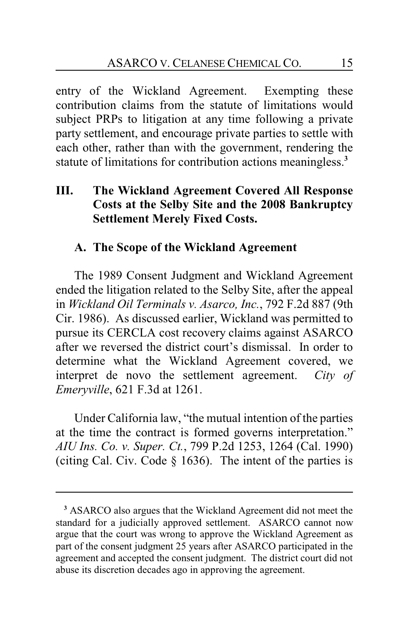entry of the Wickland Agreement. Exempting these contribution claims from the statute of limitations would subject PRPs to litigation at any time following a private party settlement, and encourage private parties to settle with each other, rather than with the government, rendering the statute of limitations for contribution actions meaningless.**<sup>3</sup>**

# **III. The Wickland Agreement Covered All Response Costs at the Selby Site and the 2008 Bankruptcy Settlement Merely Fixed Costs.**

## **A. The Scope of the Wickland Agreement**

The 1989 Consent Judgment and Wickland Agreement ended the litigation related to the Selby Site, after the appeal in *Wickland Oil Terminals v. Asarco, Inc.*, 792 F.2d 887 (9th Cir. 1986). As discussed earlier, Wickland was permitted to pursue its CERCLA cost recovery claims against ASARCO after we reversed the district court's dismissal. In order to determine what the Wickland Agreement covered, we interpret de novo the settlement agreement. *City of Emeryville*, 621 F.3d at 1261.

Under California law, "the mutual intention of the parties at the time the contract is formed governs interpretation." *AIU Ins. Co. v. Super. Ct.*, 799 P.2d 1253, 1264 (Cal. 1990) (citing Cal. Civ. Code § 1636). The intent of the parties is

**<sup>3</sup>** ASARCO also argues that the Wickland Agreement did not meet the standard for a judicially approved settlement. ASARCO cannot now argue that the court was wrong to approve the Wickland Agreement as part of the consent judgment 25 years after ASARCO participated in the agreement and accepted the consent judgment. The district court did not abuse its discretion decades ago in approving the agreement.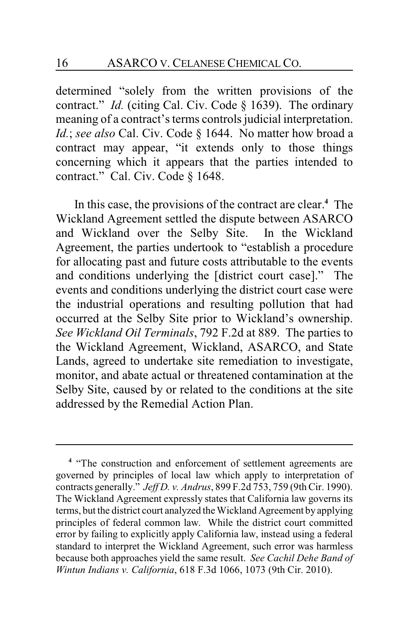determined "solely from the written provisions of the contract." *Id.* (citing Cal. Civ. Code § 1639). The ordinary meaning of a contract's terms controls judicial interpretation. *Id.*; *see also* Cal. Civ. Code § 1644. No matter how broad a contract may appear, "it extends only to those things concerning which it appears that the parties intended to contract." Cal. Civ. Code § 1648.

In this case, the provisions of the contract are clear.**<sup>4</sup>** The Wickland Agreement settled the dispute between ASARCO and Wickland over the Selby Site. In the Wickland Agreement, the parties undertook to "establish a procedure for allocating past and future costs attributable to the events and conditions underlying the [district court case]." The events and conditions underlying the district court case were the industrial operations and resulting pollution that had occurred at the Selby Site prior to Wickland's ownership. *See Wickland Oil Terminals*, 792 F.2d at 889. The parties to the Wickland Agreement, Wickland, ASARCO, and State Lands, agreed to undertake site remediation to investigate, monitor, and abate actual or threatened contamination at the Selby Site, caused by or related to the conditions at the site addressed by the Remedial Action Plan.

<sup>&</sup>lt;sup>4</sup> "The construction and enforcement of settlement agreements are governed by principles of local law which apply to interpretation of contracts generally." *Jeff D. v. Andrus*, 899 F.2d 753, 759 (9thCir. 1990). The Wickland Agreement expressly states that California law governs its terms, but the district court analyzed the Wickland Agreement by applying principles of federal common law. While the district court committed error by failing to explicitly apply California law, instead using a federal standard to interpret the Wickland Agreement, such error was harmless because both approaches yield the same result. *See Cachil Dehe Band of Wintun Indians v. California*, 618 F.3d 1066, 1073 (9th Cir. 2010).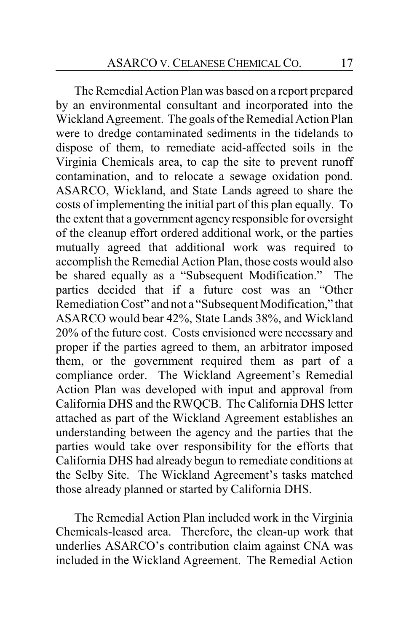The Remedial Action Plan was based on a report prepared by an environmental consultant and incorporated into the Wickland Agreement. The goals of the Remedial Action Plan were to dredge contaminated sediments in the tidelands to dispose of them, to remediate acid-affected soils in the Virginia Chemicals area, to cap the site to prevent runoff contamination, and to relocate a sewage oxidation pond. ASARCO, Wickland, and State Lands agreed to share the costs of implementing the initial part of this plan equally. To the extent that a government agency responsible for oversight of the cleanup effort ordered additional work, or the parties mutually agreed that additional work was required to accomplish the Remedial Action Plan, those costs would also be shared equally as a "Subsequent Modification." The parties decided that if a future cost was an "Other Remediation Cost" and not a "Subsequent Modification," that ASARCO would bear 42%, State Lands 38%, and Wickland 20% of the future cost. Costs envisioned were necessary and proper if the parties agreed to them, an arbitrator imposed them, or the government required them as part of a compliance order. The Wickland Agreement's Remedial Action Plan was developed with input and approval from California DHS and the RWQCB. The California DHS letter attached as part of the Wickland Agreement establishes an understanding between the agency and the parties that the parties would take over responsibility for the efforts that California DHS had already begun to remediate conditions at the Selby Site. The Wickland Agreement's tasks matched those already planned or started by California DHS.

The Remedial Action Plan included work in the Virginia Chemicals-leased area. Therefore, the clean-up work that underlies ASARCO's contribution claim against CNA was included in the Wickland Agreement. The Remedial Action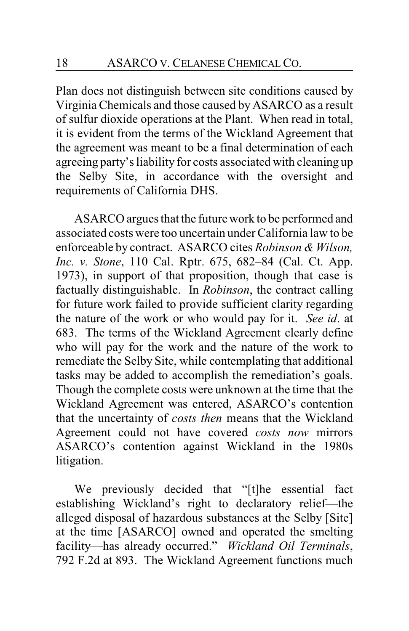Plan does not distinguish between site conditions caused by Virginia Chemicals and those caused by ASARCO as a result of sulfur dioxide operations at the Plant. When read in total, it is evident from the terms of the Wickland Agreement that the agreement was meant to be a final determination of each agreeing party's liability for costs associated with cleaning up the Selby Site, in accordance with the oversight and requirements of California DHS.

ASARCO argues that the future work to be performed and associated costs were too uncertain under California law to be enforceable by contract. ASARCO cites *Robinson & Wilson, Inc. v. Stone*, 110 Cal. Rptr. 675, 682–84 (Cal. Ct. App. 1973), in support of that proposition, though that case is factually distinguishable. In *Robinson*, the contract calling for future work failed to provide sufficient clarity regarding the nature of the work or who would pay for it. *See id*. at 683. The terms of the Wickland Agreement clearly define who will pay for the work and the nature of the work to remediate the Selby Site, while contemplating that additional tasks may be added to accomplish the remediation's goals. Though the complete costs were unknown at the time that the Wickland Agreement was entered, ASARCO's contention that the uncertainty of *costs then* means that the Wickland Agreement could not have covered *costs now* mirrors ASARCO's contention against Wickland in the 1980s litigation.

We previously decided that "[t]he essential fact establishing Wickland's right to declaratory relief—the alleged disposal of hazardous substances at the Selby [Site] at the time [ASARCO] owned and operated the smelting facility—has already occurred." *Wickland Oil Terminals*, 792 F.2d at 893. The Wickland Agreement functions much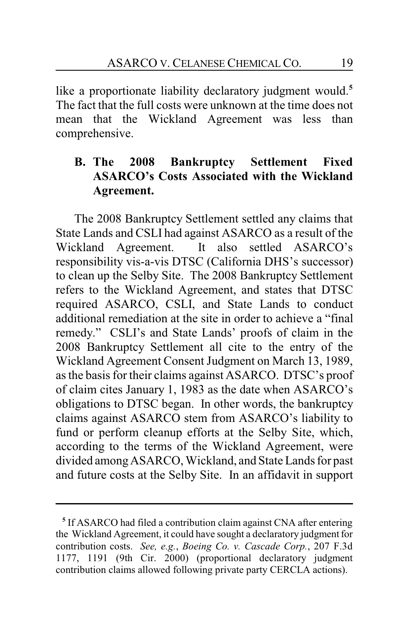like a proportionate liability declaratory judgment would.**<sup>5</sup>** The fact that the full costs were unknown at the time does not mean that the Wickland Agreement was less than comprehensive.

# **B. The 2008 Bankruptcy Settlement Fixed ASARCO's Costs Associated with the Wickland Agreement.**

The 2008 Bankruptcy Settlement settled any claims that State Lands and CSLI had against ASARCO as a result of the Wickland Agreement. It also settled ASARCO's responsibility vis-a-vis DTSC (California DHS's successor) to clean up the Selby Site. The 2008 Bankruptcy Settlement refers to the Wickland Agreement, and states that DTSC required ASARCO, CSLI, and State Lands to conduct additional remediation at the site in order to achieve a "final remedy." CSLI's and State Lands' proofs of claim in the 2008 Bankruptcy Settlement all cite to the entry of the Wickland Agreement Consent Judgment on March 13, 1989, as the basis for their claims against ASARCO. DTSC's proof of claim cites January 1, 1983 as the date when ASARCO's obligations to DTSC began. In other words, the bankruptcy claims against ASARCO stem from ASARCO's liability to fund or perform cleanup efforts at the Selby Site, which, according to the terms of the Wickland Agreement, were divided amongASARCO, Wickland, and State Lands for past and future costs at the Selby Site. In an affidavit in support

**<sup>5</sup>** If ASARCO had filed a contribution claim against CNA after entering the Wickland Agreement, it could have sought a declaratory judgment for contribution costs. *See, e.g.*, *Boeing Co. v. Cascade Corp.*, 207 F.3d 1177, 1191 (9th Cir. 2000) (proportional declaratory judgment contribution claims allowed following private party CERCLA actions).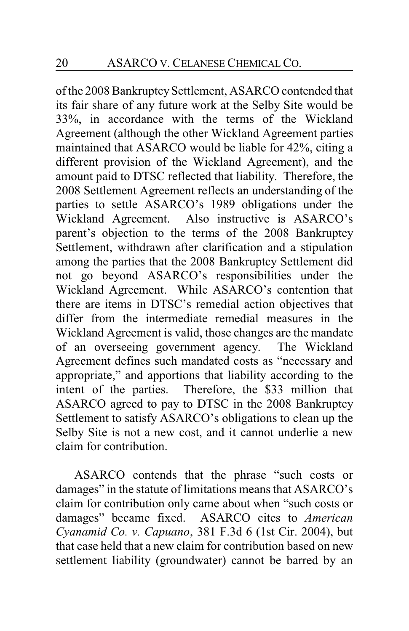of the 2008 BankruptcySettlement, ASARCO contended that its fair share of any future work at the Selby Site would be 33%, in accordance with the terms of the Wickland Agreement (although the other Wickland Agreement parties maintained that ASARCO would be liable for 42%, citing a different provision of the Wickland Agreement), and the amount paid to DTSC reflected that liability. Therefore, the 2008 Settlement Agreement reflects an understanding of the parties to settle ASARCO's 1989 obligations under the Wickland Agreement. Also instructive is ASARCO's parent's objection to the terms of the 2008 Bankruptcy Settlement, withdrawn after clarification and a stipulation among the parties that the 2008 Bankruptcy Settlement did not go beyond ASARCO's responsibilities under the Wickland Agreement. While ASARCO's contention that there are items in DTSC's remedial action objectives that differ from the intermediate remedial measures in the Wickland Agreement is valid, those changes are the mandate of an overseeing government agency. The Wickland Agreement defines such mandated costs as "necessary and appropriate," and apportions that liability according to the intent of the parties. Therefore, the \$33 million that ASARCO agreed to pay to DTSC in the 2008 Bankruptcy Settlement to satisfy ASARCO's obligations to clean up the Selby Site is not a new cost, and it cannot underlie a new claim for contribution.

ASARCO contends that the phrase "such costs or damages" in the statute of limitations means that ASARCO's claim for contribution only came about when "such costs or damages" became fixed. ASARCO cites to *American Cyanamid Co. v. Capuano*, 381 F.3d 6 (1st Cir. 2004), but that case held that a new claim for contribution based on new settlement liability (groundwater) cannot be barred by an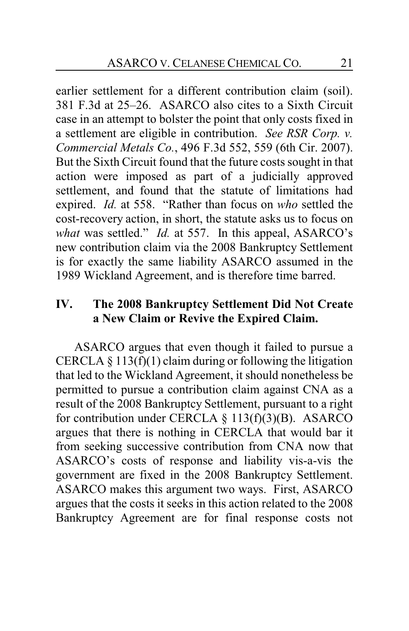earlier settlement for a different contribution claim (soil). 381 F.3d at 25–26. ASARCO also cites to a Sixth Circuit case in an attempt to bolster the point that only costs fixed in a settlement are eligible in contribution. *See RSR Corp. v. Commercial Metals Co.*, 496 F.3d 552, 559 (6th Cir. 2007). But the Sixth Circuit found that the future costs sought in that action were imposed as part of a judicially approved settlement, and found that the statute of limitations had expired. *Id.* at 558. "Rather than focus on *who* settled the cost-recovery action, in short, the statute asks us to focus on *what* was settled." *Id.* at 557. In this appeal, ASARCO's new contribution claim via the 2008 Bankruptcy Settlement is for exactly the same liability ASARCO assumed in the 1989 Wickland Agreement, and is therefore time barred.

# **IV. The 2008 Bankruptcy Settlement Did Not Create a New Claim or Revive the Expired Claim.**

ASARCO argues that even though it failed to pursue a CERCLA  $\S$  113(f)(1) claim during or following the litigation that led to the Wickland Agreement, it should nonetheless be permitted to pursue a contribution claim against CNA as a result of the 2008 Bankruptcy Settlement, pursuant to a right for contribution under CERCLA  $\S$  113(f)(3)(B). ASARCO argues that there is nothing in CERCLA that would bar it from seeking successive contribution from CNA now that ASARCO's costs of response and liability vis-a-vis the government are fixed in the 2008 Bankruptcy Settlement. ASARCO makes this argument two ways. First, ASARCO argues that the costs it seeks in this action related to the 2008 Bankruptcy Agreement are for final response costs not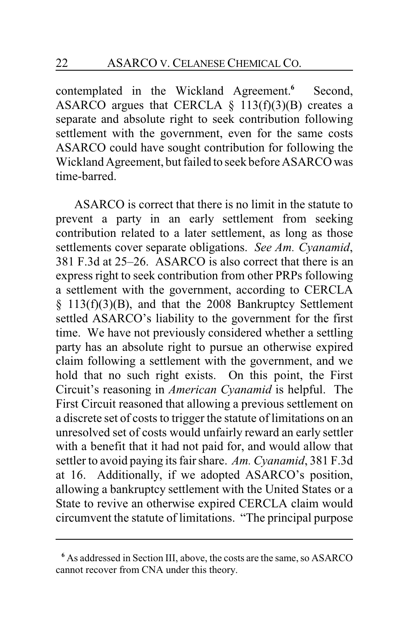contemplated in the Wickland Agreement.<sup>6</sup> Second, ASARCO argues that CERCLA  $\S$  113(f)(3)(B) creates a separate and absolute right to seek contribution following settlement with the government, even for the same costs ASARCO could have sought contribution for following the Wickland Agreement, but failed to seek before ASARCO was time-barred.

ASARCO is correct that there is no limit in the statute to prevent a party in an early settlement from seeking contribution related to a later settlement, as long as those settlements cover separate obligations. *See Am. Cyanamid*, 381 F.3d at 25–26. ASARCO is also correct that there is an express right to seek contribution from other PRPs following a settlement with the government, according to CERCLA § 113(f)(3)(B), and that the 2008 Bankruptcy Settlement settled ASARCO's liability to the government for the first time. We have not previously considered whether a settling party has an absolute right to pursue an otherwise expired claim following a settlement with the government, and we hold that no such right exists. On this point, the First Circuit's reasoning in *American Cyanamid* is helpful. The First Circuit reasoned that allowing a previous settlement on a discrete set of costs to trigger the statute of limitations on an unresolved set of costs would unfairly reward an early settler with a benefit that it had not paid for, and would allow that settler to avoid paying its fair share. *Am. Cyanamid*, 381 F.3d at 16. Additionally, if we adopted ASARCO's position, allowing a bankruptcy settlement with the United States or a State to revive an otherwise expired CERCLA claim would circumvent the statute of limitations. "The principal purpose

**<sup>6</sup>** As addressed in Section III, above, the costs are the same, so ASARCO cannot recover from CNA under this theory.